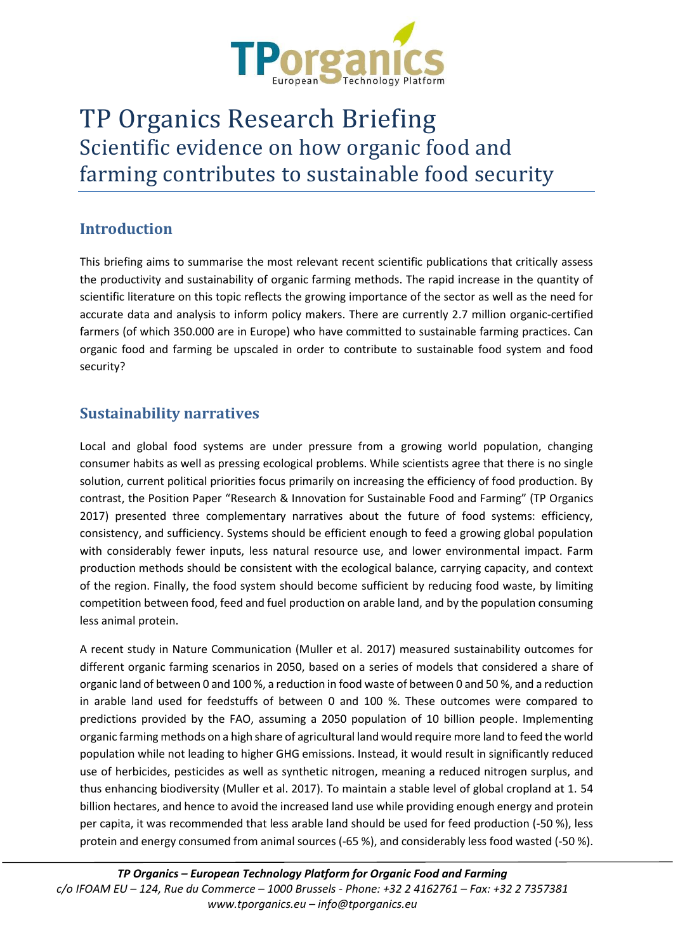

# TP Organics Research Briefing Scientific evidence on how organic food and farming contributes to sustainable food security

## **Introduction**

This briefing aims to summarise the most relevant recent scientific publications that critically assess the productivity and sustainability of organic farming methods. The rapid increase in the quantity of scientific literature on this topic reflects the growing importance of the sector as well as the need for accurate data and analysis to inform policy makers. There are currently 2.7 million organic-certified farmers (of which 350.000 are in Europe) who have committed to sustainable farming practices. Can organic food and farming be upscaled in order to contribute to sustainable food system and food security?

## **Sustainability narratives**

Local and global food systems are under pressure from a growing world population, changing consumer habits as well as pressing ecological problems. While scientists agree that there is no single solution, current political priorities focus primarily on increasing the efficiency of food production. By contrast, the Position Paper "Research & Innovation for Sustainable Food and Farming" (TP Organics 2017) presented three complementary narratives about the future of food systems: efficiency, consistency, and sufficiency. Systems should be efficient enough to feed a growing global population with considerably fewer inputs, less natural resource use, and lower environmental impact. Farm production methods should be consistent with the ecological balance, carrying capacity, and context of the region. Finally, the food system should become sufficient by reducing food waste, by limiting competition between food, feed and fuel production on arable land, and by the population consuming less animal protein.

A recent study in Nature Communication (Muller et al. 2017) measured sustainability outcomes for different organic farming scenarios in 2050, based on a series of models that considered a share of organic land of between 0 and 100 %, a reduction in food waste of between 0 and 50 %, and a reduction in arable land used for feedstuffs of between 0 and 100 %. These outcomes were compared to predictions provided by the FAO, assuming a 2050 population of 10 billion people. Implementing organic farming methods on a high share of agricultural land would require more land to feed the world population while not leading to higher GHG emissions. Instead, it would result in significantly reduced use of herbicides, pesticides as well as synthetic nitrogen, meaning a reduced nitrogen surplus, and thus enhancing biodiversity (Muller et al. 2017). To maintain a stable level of global cropland at 1. 54 billion hectares, and hence to avoid the increased land use while providing enough energy and protein per capita, it was recommended that less arable land should be used for feed production (-50 %), less protein and energy consumed from animal sources (-65 %), and considerably less food wasted (-50 %).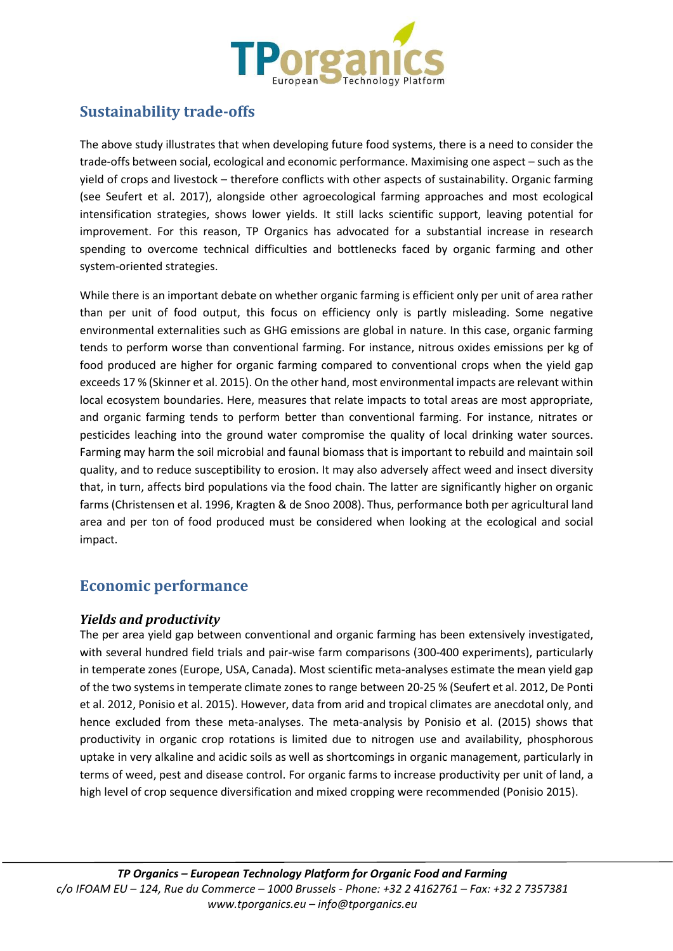

## **Sustainability trade-offs**

The above study illustrates that when developing future food systems, there is a need to consider the trade-offs between social, ecological and economic performance. Maximising one aspect – such as the yield of crops and livestock – therefore conflicts with other aspects of sustainability. Organic farming (see Seufert et al. 2017), alongside other agroecological farming approaches and most ecological intensification strategies, shows lower yields. It still lacks scientific support, leaving potential for improvement. For this reason, TP Organics has advocated for a substantial increase in research spending to overcome technical difficulties and bottlenecks faced by organic farming and other system-oriented strategies.

While there is an important debate on whether organic farming is efficient only per unit of area rather than per unit of food output, this focus on efficiency only is partly misleading. Some negative environmental externalities such as GHG emissions are global in nature. In this case, organic farming tends to perform worse than conventional farming. For instance, nitrous oxides emissions per kg of food produced are higher for organic farming compared to conventional crops when the yield gap exceeds 17 % (Skinner et al. 2015). On the other hand, most environmental impacts are relevant within local ecosystem boundaries. Here, measures that relate impacts to total areas are most appropriate, and organic farming tends to perform better than conventional farming. For instance, nitrates or pesticides leaching into the ground water compromise the quality of local drinking water sources. Farming may harm the soil microbial and faunal biomass that is important to rebuild and maintain soil quality, and to reduce susceptibility to erosion. It may also adversely affect weed and insect diversity that, in turn, affects bird populations via the food chain. The latter are significantly higher on organic farms (Christensen et al. 1996, Kragten & de Snoo 2008). Thus, performance both per agricultural land area and per ton of food produced must be considered when looking at the ecological and social impact.

## **Economic performance**

#### *Yields and productivity*

The per area yield gap between conventional and organic farming has been extensively investigated, with several hundred field trials and pair-wise farm comparisons (300-400 experiments), particularly in temperate zones (Europe, USA, Canada). Most scientific meta-analyses estimate the mean yield gap of the two systems in temperate climate zones to range between 20-25 % (Seufert et al. 2012, De Ponti et al. 2012, Ponisio et al. 2015). However, data from arid and tropical climates are anecdotal only, and hence excluded from these meta-analyses. The meta-analysis by Ponisio et al. (2015) shows that productivity in organic crop rotations is limited due to nitrogen use and availability, phosphorous uptake in very alkaline and acidic soils as well as shortcomings in organic management, particularly in terms of weed, pest and disease control. For organic farms to increase productivity per unit of land, a high level of crop sequence diversification and mixed cropping were recommended (Ponisio 2015).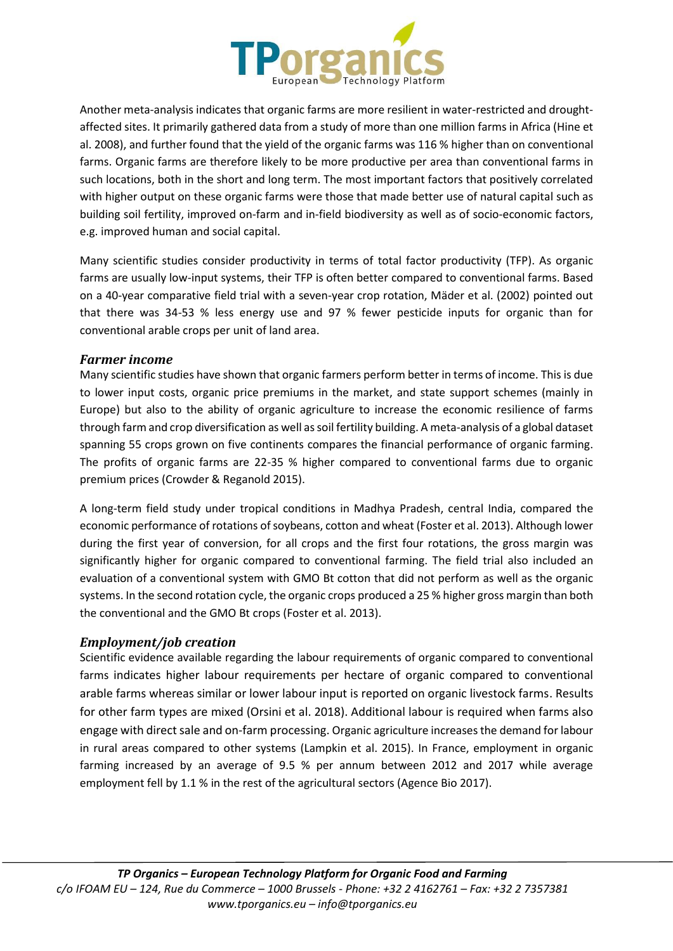

Another meta-analysis indicates that organic farms are more resilient in water-restricted and droughtaffected sites. It primarily gathered data from a study of more than one million farms in Africa (Hine et al. 2008), and further found that the yield of the organic farms was 116 % higher than on conventional farms. Organic farms are therefore likely to be more productive per area than conventional farms in such locations, both in the short and long term. The most important factors that positively correlated with higher output on these organic farms were those that made better use of natural capital such as building soil fertility, improved on-farm and in-field biodiversity as well as of socio-economic factors, e.g. improved human and social capital.

Many scientific studies consider productivity in terms of total factor productivity (TFP). As organic farms are usually low-input systems, their TFP is often better compared to conventional farms. Based on a 40-year comparative field trial with a seven-year crop rotation, Mäder et al. (2002) pointed out that there was 34-53 % less energy use and 97 % fewer pesticide inputs for organic than for conventional arable crops per unit of land area.

#### *Farmer income*

Many scientific studies have shown that organic farmers perform better in terms of income. This is due to lower input costs, organic price premiums in the market, and state support schemes (mainly in Europe) but also to the ability of organic agriculture to increase the economic resilience of farms through farm and crop diversification as well assoil fertility building. A meta-analysis of a global dataset spanning 55 crops grown on five continents compares the financial performance of organic farming. The profits of organic farms are 22-35 % higher compared to conventional farms due to organic premium prices (Crowder & Reganold 2015).

A long-term field study under tropical conditions in Madhya Pradesh, central India, compared the economic performance of rotations of soybeans, cotton and wheat (Foster et al. 2013). Although lower during the first year of conversion, for all crops and the first four rotations, the gross margin was significantly higher for organic compared to conventional farming. The field trial also included an evaluation of a conventional system with GMO Bt cotton that did not perform as well as the organic systems. In the second rotation cycle, the organic crops produced a 25 % higher gross margin than both the conventional and the GMO Bt crops (Foster et al. 2013).

#### *Employment/job creation*

Scientific evidence available regarding the labour requirements of organic compared to conventional farms indicates higher labour requirements per hectare of organic compared to conventional arable farms whereas similar or lower labour input is reported on organic livestock farms. Results for other farm types are mixed (Orsini et al. 2018). Additional labour is required when farms also engage with direct sale and on-farm processing. Organic agriculture increases the demand for labour in rural areas compared to other systems (Lampkin et al. 2015). In France, employment in organic farming increased by an average of 9.5 % per annum between 2012 and 2017 while average employment fell by 1.1 % in the rest of the agricultural sectors (Agence Bio 2017).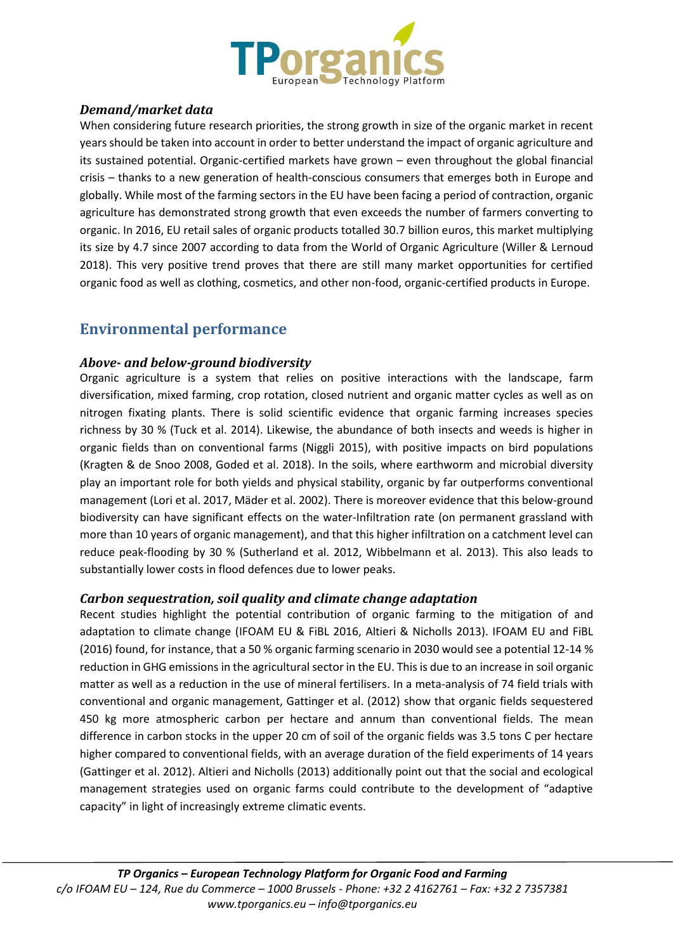

#### *Demand/market data*

When considering future research priorities, the strong growth in size of the organic market in recent years should be taken into account in order to better understand the impact of organic agriculture and its sustained potential. Organic-certified markets have grown – even throughout the global financial crisis – thanks to a new generation of health-conscious consumers that emerges both in Europe and globally. While most of the farming sectors in the EU have been facing a period of contraction, organic agriculture has demonstrated strong growth that even exceeds the number of farmers converting to organic. In 2016, EU retail sales of organic products totalled 30.7 billion euros, this market multiplying its size by 4.7 since 2007 according to data from the World of Organic Agriculture (Willer & Lernoud 2018). This very positive trend proves that there are still many market opportunities for certified organic food as well as clothing, cosmetics, and other non-food, organic-certified products in Europe.

### **Environmental performance**

#### *Above- and below-ground biodiversity*

Organic agriculture is a system that relies on positive interactions with the landscape, farm diversification, mixed farming, crop rotation, closed nutrient and organic matter cycles as well as on nitrogen fixating plants. There is solid scientific evidence that organic farming increases species richness by 30 % (Tuck et al. 2014). Likewise, the abundance of both insects and weeds is higher in organic fields than on conventional farms (Niggli 2015), with positive impacts on bird populations (Kragten & de Snoo 2008, Goded et al. 2018). In the soils, where earthworm and microbial diversity play an important role for both yields and physical stability, organic by far outperforms conventional management (Lori et al. 2017, Mäder et al. 2002). There is moreover evidence that this below-ground biodiversity can have significant effects on the water-Infiltration rate (on permanent grassland with more than 10 years of organic management), and that this higher infiltration on a catchment level can reduce peak-flooding by 30 % (Sutherland et al. 2012, Wibbelmann et al. 2013). This also leads to substantially lower costs in flood defences due to lower peaks.

#### *Carbon sequestration, soil quality and climate change adaptation*

Recent studies highlight the potential contribution of organic farming to the mitigation of and adaptation to climate change (IFOAM EU & FiBL 2016, Altieri & Nicholls 2013). IFOAM EU and FiBL (2016) found, for instance, that a 50 % organic farming scenario in 2030 would see a potential 12-14 % reduction in GHG emissions in the agricultural sector in the EU. This is due to an increase in soil organic matter as well as a reduction in the use of mineral fertilisers. In a meta-analysis of 74 field trials with conventional and organic management, Gattinger et al. (2012) show that organic fields sequestered 450 kg more atmospheric carbon per hectare and annum than conventional fields. The mean difference in carbon stocks in the upper 20 cm of soil of the organic fields was 3.5 tons C per hectare higher compared to conventional fields, with an average duration of the field experiments of 14 years (Gattinger et al. 2012). Altieri and Nicholls (2013) additionally point out that the social and ecological management strategies used on organic farms could contribute to the development of "adaptive capacity" in light of increasingly extreme climatic events.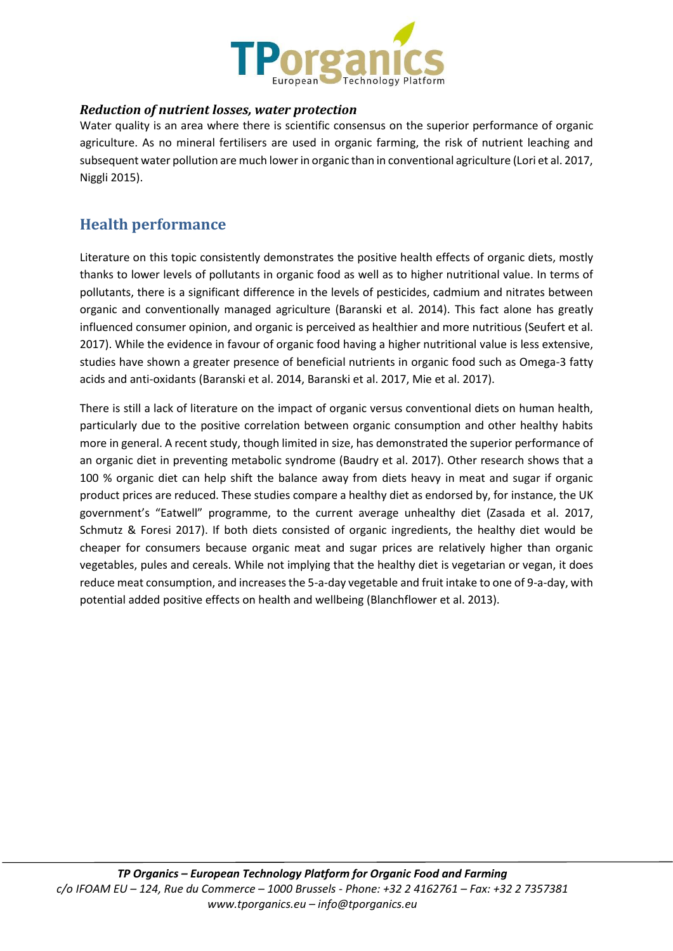

#### *Reduction of nutrient losses, water protection*

Water quality is an area where there is scientific consensus on the superior performance of organic agriculture. As no mineral fertilisers are used in organic farming, the risk of nutrient leaching and subsequent water pollution are much lower in organic than in conventional agriculture (Lori et al. 2017, Niggli 2015).

## **Health performance**

Literature on this topic consistently demonstrates the positive health effects of organic diets, mostly thanks to lower levels of pollutants in organic food as well as to higher nutritional value. In terms of pollutants, there is a significant difference in the levels of pesticides, cadmium and nitrates between organic and conventionally managed agriculture (Baranski et al. 2014). This fact alone has greatly influenced consumer opinion, and organic is perceived as healthier and more nutritious (Seufert et al. 2017). While the evidence in favour of organic food having a higher nutritional value is less extensive, studies have shown a greater presence of beneficial nutrients in organic food such as Omega-3 fatty acids and anti-oxidants (Baranski et al. 2014, Baranski et al. 2017, Mie et al. 2017).

There is still a lack of literature on the impact of organic versus conventional diets on human health, particularly due to the positive correlation between organic consumption and other healthy habits more in general. A recent study, though limited in size, has demonstrated the superior performance of an organic diet in preventing metabolic syndrome (Baudry et al. 2017). Other research shows that a 100 % organic diet can help shift the balance away from diets heavy in meat and sugar if organic product prices are reduced. These studies compare a healthy diet as endorsed by, for instance, the UK government's "Eatwell" programme, to the current average unhealthy diet (Zasada et al. 2017, Schmutz & Foresi 2017). If both diets consisted of organic ingredients, the healthy diet would be cheaper for consumers because organic meat and sugar prices are relatively higher than organic vegetables, pules and cereals. While not implying that the healthy diet is vegetarian or vegan, it does reduce meat consumption, and increases the 5-a-day vegetable and fruit intake to one of 9-a-day, with potential added positive effects on health and wellbeing (Blanchflower et al. 2013).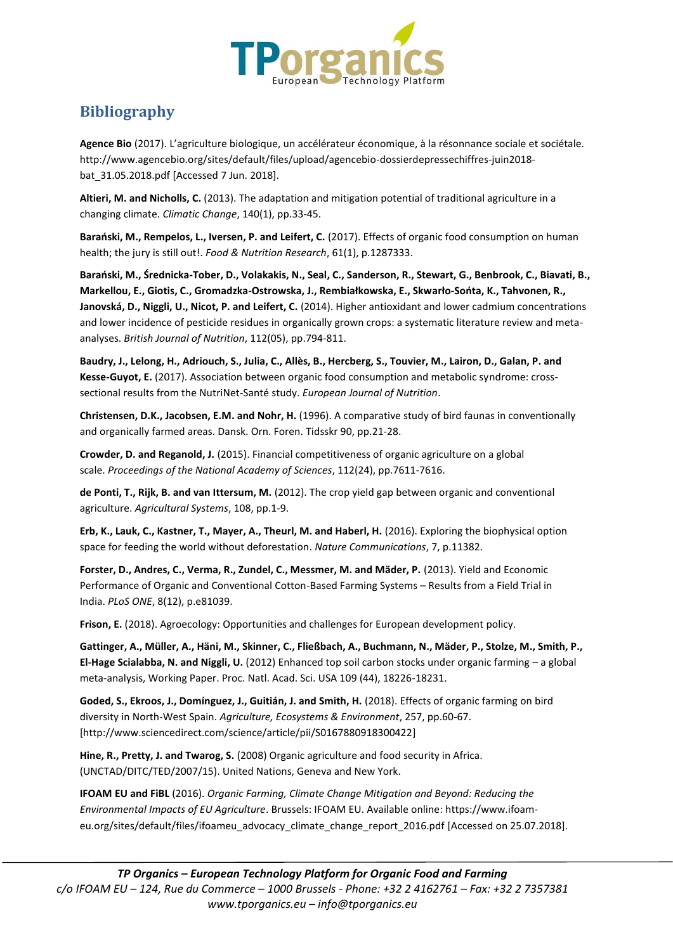

# **Bibliography**

**Agence Bio** (2017). L'agriculture biologique, un accélérateur économique, à la résonnance sociale et sociétale. http://www.agencebio.org/sites/default/files/upload/agencebio-dossierdepressechiffres-juin2018 bat\_31.05.2018.pdf [Accessed 7 Jun. 2018].

**Altieri, M. and Nicholls, C.** (2013). The adaptation and mitigation potential of traditional agriculture in a changing climate. *Climatic Change*, 140(1), pp.33-45.

**Barański, M., Rempelos, L., Iversen, P. and Leifert, C.** (2017). Effects of organic food consumption on human health; the jury is still out!. *Food & Nutrition Research*, 61(1), p.1287333.

**Barański, M., Średnicka-Tober, D., Volakakis, N., Seal, C., Sanderson, R., Stewart, G., Benbrook, C., Biavati, B., Markellou, E., Giotis, C., Gromadzka-Ostrowska, J., Rembiałkowska, E., Skwarło-Sońta, K., Tahvonen, R., Janovská, D., Niggli, U., Nicot, P. and Leifert, C.** (2014). Higher antioxidant and lower cadmium concentrations and lower incidence of pesticide residues in organically grown crops: a systematic literature review and metaanalyses. *British Journal of Nutrition*, 112(05), pp.794-811.

**Baudry, J., Lelong, H., Adriouch, S., Julia, C., Allès, B., Hercberg, S., Touvier, M., Lairon, D., Galan, P. and Kesse-Guyot, E.** (2017). Association between organic food consumption and metabolic syndrome: crosssectional results from the NutriNet-Santé study. *European Journal of Nutrition*.

**Christensen, D.K., Jacobsen, E.M. and Nohr, H.** (1996). A comparative study of bird faunas in conventionally and organically farmed areas. Dansk. Orn. Foren. Tidsskr 90, pp.21-28.

**Crowder, D. and Reganold, J.** (2015). Financial competitiveness of organic agriculture on a global scale. *Proceedings of the National Academy of Sciences*, 112(24), pp.7611-7616.

**de Ponti, T., Rijk, B. and van Ittersum, M.** (2012). The crop yield gap between organic and conventional agriculture. *Agricultural Systems*, 108, pp.1-9.

**Erb, K., Lauk, C., Kastner, T., Mayer, A., Theurl, M. and Haberl, H.** (2016). Exploring the biophysical option space for feeding the world without deforestation. *Nature Communications*, 7, p.11382.

**Forster, D., Andres, C., Verma, R., Zundel, C., Messmer, M. and Mäder, P.** (2013). Yield and Economic Performance of Organic and Conventional Cotton-Based Farming Systems – Results from a Field Trial in India. *PLoS ONE*, 8(12), p.e81039.

**Frison, E.** (2018). Agroecology: Opportunities and challenges for European development policy.

**Gattinger, A., Müller, A., Häni, M., Skinner, C., Fließbach, A., Buchmann, N., Mäder, P., Stolze, M., Smith, P., El-Hage Scialabba, N. and Niggli, U.** (2012) Enhanced top soil carbon stocks under organic farming – a global meta-analysis, Working Paper. Proc. Natl. Acad. Sci. USA 109 (44), 18226-18231.

**Goded, S., Ekroos, J., Domínguez, J., Guitián, J. and Smith, H.** (2018). Effects of organic farming on bird diversity in North-West Spain. *Agriculture, Ecosystems & Environment*, 257, pp.60-67. [http://www.sciencedirect.com/science/article/pii/S0167880918300422]

**Hine, R., Pretty, J. and Twarog, S.** (2008) Organic agriculture and food security in Africa. (UNCTAD/DITC/TED/2007/15). United Nations, Geneva and New York.

**IFOAM EU and FiBL** (2016). *Organic Farming, Climate Change Mitigation and Beyond: Reducing the Environmental Impacts of EU Agriculture*. Brussels: IFOAM EU. Available online: https://www.ifoameu.org/sites/default/files/ifoameu\_advocacy\_climate\_change\_report\_2016.pdf [Accessed on 25.07.2018].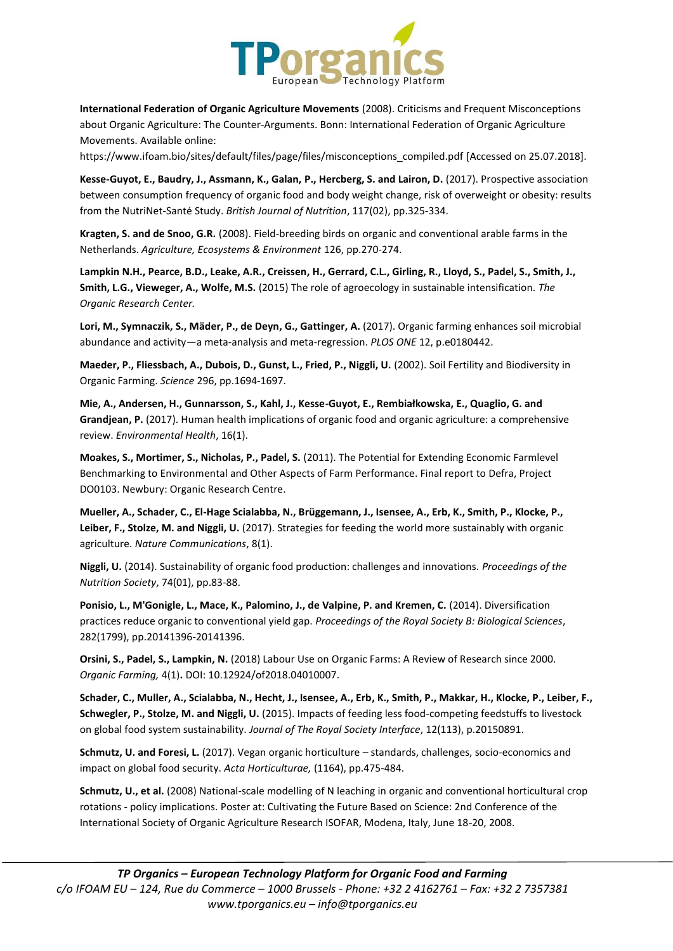

**International Federation of Organic Agriculture Movements** (2008). Criticisms and Frequent Misconceptions about Organic Agriculture: The Counter-Arguments. Bonn: International Federation of Organic Agriculture Movements. Available online:

https://www.ifoam.bio/sites/default/files/page/files/misconceptions\_compiled.pdf [Accessed on 25.07.2018].

**Kesse-Guyot, E., Baudry, J., Assmann, K., Galan, P., Hercberg, S. and Lairon, D.** (2017). Prospective association between consumption frequency of organic food and body weight change, risk of overweight or obesity: results from the NutriNet-Santé Study. *British Journal of Nutrition*, 117(02), pp.325-334.

**Kragten, S. and de Snoo, G.R.** (2008). Field-breeding birds on organic and conventional arable farms in the Netherlands. *Agriculture, Ecosystems & Environment* 126, pp.270-274.

**Lampkin N.H., Pearce, B.D., Leake, A.R., Creissen, H., Gerrard, C.L., Girling, R., Lloyd, S., Padel, S., Smith, J., Smith, L.G., Vieweger, A., Wolfe, M.S.** (2015) The role of agroecology in sustainable intensification. *The Organic Research Center.*

**Lori, M., Symnaczik, S., Mäder, P., de Deyn, G., Gattinger, A.** (2017). Organic farming enhances soil microbial abundance and activity—a meta-analysis and meta-regression. *PLOS ONE* 12, p.e0180442.

**Maeder, P., Fliessbach, A., Dubois, D., Gunst, L., Fried, P., Niggli, U.** (2002). Soil Fertility and Biodiversity in Organic Farming. *Science* 296, pp.1694-1697.

**Mie, A., Andersen, H., Gunnarsson, S., Kahl, J., Kesse-Guyot, E., Rembiałkowska, E., Quaglio, G. and Grandjean, P.** (2017). Human health implications of organic food and organic agriculture: a comprehensive review. *Environmental Health*, 16(1).

**Moakes, S., Mortimer, S., Nicholas, P., Padel, S.** (2011). The Potential for Extending Economic Farmlevel Benchmarking to Environmental and Other Aspects of Farm Performance. Final report to Defra, Project DO0103. Newbury: Organic Research Centre.

**Mueller, A., Schader, C., El-Hage Scialabba, N., Brüggemann, J., Isensee, A., Erb, K., Smith, P., Klocke, P., Leiber, F., Stolze, M. and Niggli, U.** (2017). Strategies for feeding the world more sustainably with organic agriculture. *Nature Communications*, 8(1).

**Niggli, U.** (2014). Sustainability of organic food production: challenges and innovations. *Proceedings of the Nutrition Society*, 74(01), pp.83-88.

**Ponisio, L., M'Gonigle, L., Mace, K., Palomino, J., de Valpine, P. and Kremen, C.** (2014). Diversification practices reduce organic to conventional yield gap. *Proceedings of the Royal Society B: Biological Sciences*, 282(1799), pp.20141396-20141396.

**Orsini, S., Padel, S., Lampkin, N.** (2018) Labour Use on Organic Farms: A Review of Research since 2000. *Organic Farming,* 4(1)**.** DOI: 10.12924/of2018.04010007.

**Schader, C., Muller, A., Scialabba, N., Hecht, J., Isensee, A., Erb, K., Smith, P., Makkar, H., Klocke, P., Leiber, F., Schwegler, P., Stolze, M. and Niggli, U.** (2015). Impacts of feeding less food-competing feedstuffs to livestock on global food system sustainability. *Journal of The Royal Society Interface*, 12(113), p.20150891.

**Schmutz, U. and Foresi, L.** (2017). Vegan organic horticulture – standards, challenges, socio-economics and impact on global food security. *Acta Horticulturae,* (1164), pp.475-484.

**Schmutz, U., et al.** (2008) National-scale modelling of N leaching in organic and conventional horticultural crop rotations - policy implications. Poster at: Cultivating the Future Based on Science: 2nd Conference of the International Society of Organic Agriculture Research ISOFAR, Modena, Italy, June 18-20, 2008.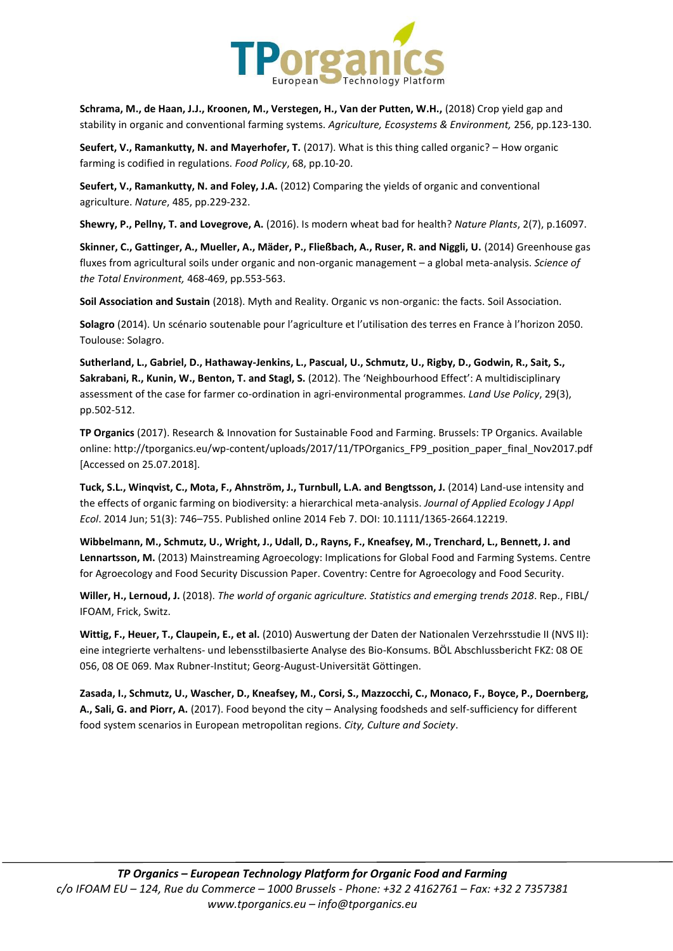

**Schrama, M., de Haan, J.J., Kroonen, M., Verstegen, H., Van der Putten, W.H.,** (2018) Crop yield gap and stability in organic and conventional farming systems. *Agriculture, Ecosystems & Environment,* 256, pp.123-130.

**Seufert, V., Ramankutty, N. and Mayerhofer, T.** (2017). What is this thing called organic? – How organic farming is codified in regulations. *Food Policy*, 68, pp.10-20.

**Seufert, V., Ramankutty, N. and Foley, J.A.** (2012) Comparing the yields of organic and conventional agriculture. *Nature*, 485, pp.229-232.

**Shewry, P., Pellny, T. and Lovegrove, A.** (2016). Is modern wheat bad for health? *Nature Plants*, 2(7), p.16097.

**Skinner, C., Gattinger, A., Mueller, A., Mäder, P., Fließbach, A., Ruser, R. and Niggli, U.** (2014) Greenhouse gas fluxes from agricultural soils under organic and non-organic management – a global meta-analysis. *Science of the Total Environment,* 468-469, pp.553-563.

**Soil Association and Sustain** (2018). Myth and Reality. Organic vs non-organic: the facts. Soil Association.

**Solagro** (2014). Un scénario soutenable pour l'agriculture et l'utilisation des terres en France à l'horizon 2050. Toulouse: Solagro.

**Sutherland, L., Gabriel, D., Hathaway-Jenkins, L., Pascual, U., Schmutz, U., Rigby, D., Godwin, R., Sait, S., Sakrabani, R., Kunin, W., Benton, T. and Stagl, S.** (2012). The 'Neighbourhood Effect': A multidisciplinary assessment of the case for farmer co-ordination in agri-environmental programmes. *Land Use Policy*, 29(3), pp.502-512.

**TP Organics** (2017). Research & Innovation for Sustainable Food and Farming. Brussels: TP Organics. Available online: http://tporganics.eu/wp-content/uploads/2017/11/TPOrganics\_FP9\_position\_paper\_final\_Nov2017.pdf [Accessed on 25.07.2018].

**Tuck, S.L., Winqvist, C., Mota, F., Ahnström, J., Turnbull, L.A. and Bengtsson, J.** (2014) Land-use intensity and the effects of organic farming on biodiversity: a hierarchical meta-analysis. *Journal of Applied Ecology J Appl Ecol*. 2014 Jun; 51(3): 746–755. Published online 2014 Feb 7. DOI: 10.1111/1365-2664.12219.

**Wibbelmann, M., Schmutz, U., Wright, J., Udall, D., Rayns, F., Kneafsey, M., Trenchard, L., Bennett, J. and Lennartsson, M.** (2013) Mainstreaming Agroecology: Implications for Global Food and Farming Systems. Centre for Agroecology and Food Security Discussion Paper. Coventry: Centre for Agroecology and Food Security.

**Willer, H., Lernoud, J.** (2018). *The world of organic agriculture. Statistics and emerging trends 2018*. Rep., FIBL/ IFOAM, Frick, Switz.

**Wittig, F., Heuer, T., Claupein, E., et al.** (2010) Auswertung der Daten der Nationalen Verzehrsstudie II (NVS II): eine integrierte verhaltens- und lebensstilbasierte Analyse des Bio-Konsums. BÖL Abschlussbericht FKZ: 08 OE 056, 08 OE 069. Max Rubner-Institut; Georg-August-Universität Göttingen.

**Zasada, I., Schmutz, U., Wascher, D., Kneafsey, M., Corsi, S., Mazzocchi, C., Monaco, F., Boyce, P., Doernberg, A., Sali, G. and Piorr, A.** (2017). Food beyond the city – Analysing foodsheds and self-sufficiency for different food system scenarios in European metropolitan regions. *City, Culture and Society*.